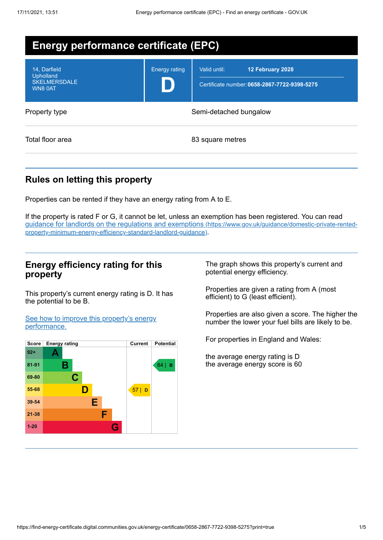| <b>Energy performance certificate (EPC)</b>                        |                        |                                                                                  |  |
|--------------------------------------------------------------------|------------------------|----------------------------------------------------------------------------------|--|
| 14, Darfield<br><b>Upholland</b><br><b>SKELMERSDALE</b><br>WN8 0AT | <b>Energy rating</b>   | Valid until:<br>12 February 2028<br>Certificate number: 0658-2867-7722-9398-5275 |  |
| Property type                                                      | Semi-detached bungalow |                                                                                  |  |
| Total floor area                                                   |                        | 83 square metres                                                                 |  |

## **Rules on letting this property**

Properties can be rented if they have an energy rating from A to E.

If the property is rated F or G, it cannot be let, unless an exemption has been registered. You can read guidance for landlords on the regulations and exemptions (https://www.gov.uk/guidance/domestic-private-rented[property-minimum-energy-efficiency-standard-landlord-guidance\)](https://www.gov.uk/guidance/domestic-private-rented-property-minimum-energy-efficiency-standard-landlord-guidance).

## **Energy efficiency rating for this property**

This property's current energy rating is D. It has the potential to be B.

See how to improve this property's energy [performance.](#page-2-0)



The graph shows this property's current and potential energy efficiency.

Properties are given a rating from A (most efficient) to G (least efficient).

Properties are also given a score. The higher the number the lower your fuel bills are likely to be.

For properties in England and Wales:

the average energy rating is D the average energy score is 60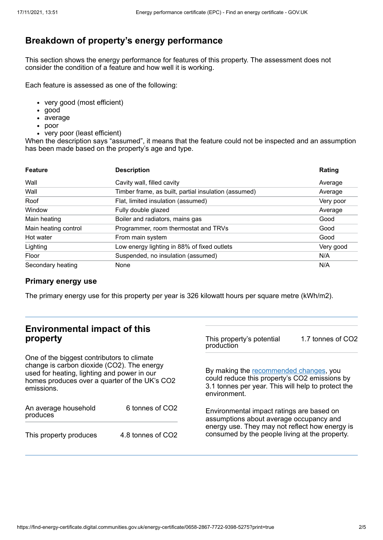# **Breakdown of property's energy performance**

This section shows the energy performance for features of this property. The assessment does not consider the condition of a feature and how well it is working.

Each feature is assessed as one of the following:

- very good (most efficient)
- good
- average
- poor
- very poor (least efficient)

When the description says "assumed", it means that the feature could not be inspected and an assumption has been made based on the property's age and type.

| <b>Feature</b>       | <b>Description</b>                                   | Rating    |
|----------------------|------------------------------------------------------|-----------|
| Wall                 | Cavity wall, filled cavity                           | Average   |
| Wall                 | Timber frame, as built, partial insulation (assumed) | Average   |
| Roof                 | Flat, limited insulation (assumed)                   | Very poor |
| Window               | Fully double glazed                                  | Average   |
| Main heating         | Boiler and radiators, mains gas                      | Good      |
| Main heating control | Programmer, room thermostat and TRVs                 | Good      |
| Hot water            | From main system                                     | Good      |
| Lighting             | Low energy lighting in 88% of fixed outlets          | Very good |
| Floor                | Suspended, no insulation (assumed)                   | N/A       |
| Secondary heating    | None                                                 | N/A       |

### **Primary energy use**

The primary energy use for this property per year is 326 kilowatt hours per square metre (kWh/m2).

## **Environmental impact of this property**

One of the biggest contributors to climate change is carbon dioxide (CO2). The energy used for heating, lighting and power in our homes produces over a quarter of the UK's CO2 emissions.

| An average household<br>produces | 6 tonnes of CO2   |  |
|----------------------------------|-------------------|--|
| This property produces           | 4.8 tonnes of CO2 |  |

This property's potential production 1.7 tonnes of CO2

By making the [recommended](#page-2-0) changes, you could reduce this property's CO2 emissions by 3.1 tonnes per year. This will help to protect the environment.

Environmental impact ratings are based on assumptions about average occupancy and energy use. They may not reflect how energy is consumed by the people living at the property.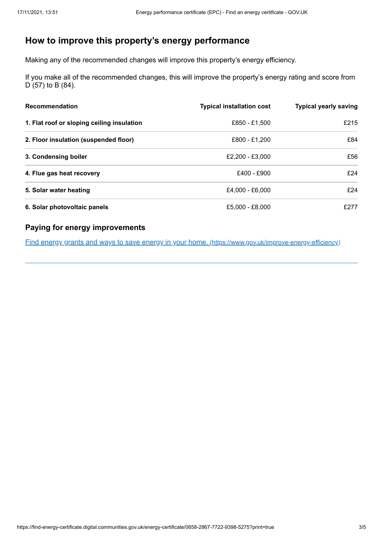# <span id="page-2-0"></span>**How to improve this property's energy performance**

Making any of the recommended changes will improve this property's energy efficiency.

If you make all of the recommended changes, this will improve the property's energy rating and score from D (57) to B (84).

| <b>Recommendation</b>                      | <b>Typical installation cost</b> | <b>Typical yearly saving</b> |
|--------------------------------------------|----------------------------------|------------------------------|
| 1. Flat roof or sloping ceiling insulation | £850 - £1,500                    | £215                         |
| 2. Floor insulation (suspended floor)      | £800 - £1.200                    | £84                          |
| 3. Condensing boiler                       | £2.200 - £3.000                  | £56                          |
| 4. Flue gas heat recovery                  | £400 - £900                      | £24                          |
| 5. Solar water heating                     | £4,000 - £6,000                  | £24                          |
| 6. Solar photovoltaic panels               | £5,000 - £8,000                  | £277                         |

### **Paying for energy improvements**

Find energy grants and ways to save energy in your home. [\(https://www.gov.uk/improve-energy-efficiency\)](https://www.gov.uk/improve-energy-efficiency)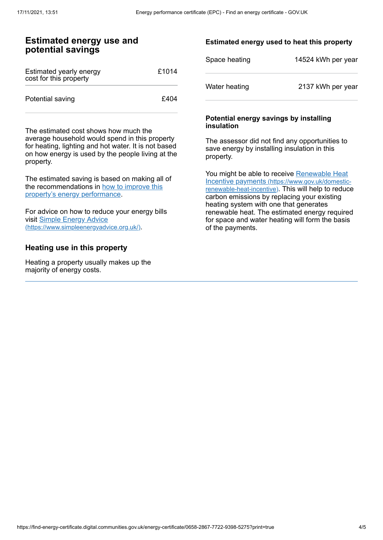### **Estimated energy use and potential savings**

| Estimated yearly energy<br>cost for this property | £1014 |
|---------------------------------------------------|-------|
| Potential saving                                  | £404  |

The estimated cost shows how much the average household would spend in this property for heating, lighting and hot water. It is not based on how energy is used by the people living at the property.

The estimated saving is based on making all of the [recommendations](#page-2-0) in how to improve this property's energy performance.

For advice on how to reduce your energy bills visit Simple Energy Advice [\(https://www.simpleenergyadvice.org.uk/\)](https://www.simpleenergyadvice.org.uk/).

### **Heating use in this property**

Heating a property usually makes up the majority of energy costs.

#### **Estimated energy used to heat this property**

| Space heating | 14524 kWh per year |
|---------------|--------------------|
| Water heating | 2137 kWh per year  |

#### **Potential energy savings by installing insulation**

The assessor did not find any opportunities to save energy by installing insulation in this property.

You might be able to receive Renewable Heat Incentive payments [\(https://www.gov.uk/domestic](https://www.gov.uk/domestic-renewable-heat-incentive)renewable-heat-incentive). This will help to reduce carbon emissions by replacing your existing heating system with one that generates renewable heat. The estimated energy required for space and water heating will form the basis of the payments.